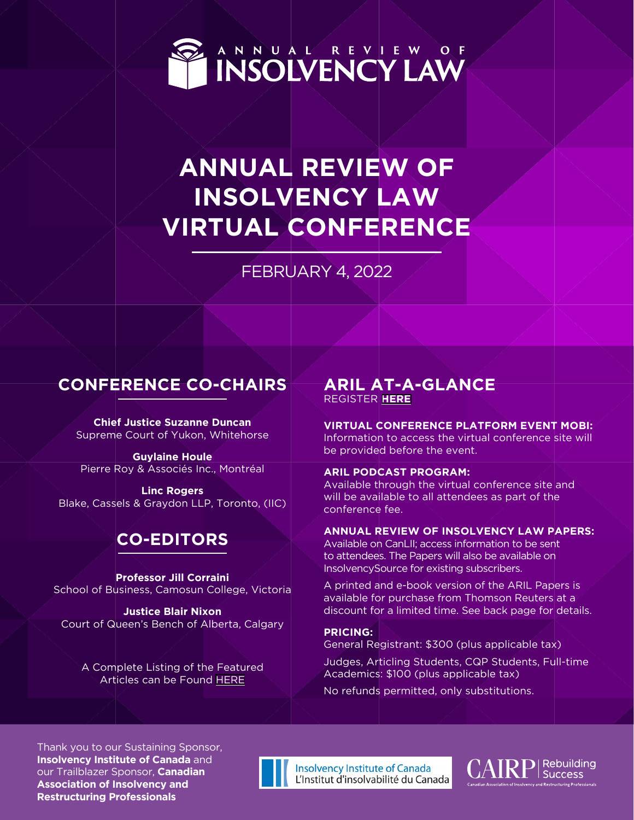

ANNUAL REVIEW OF

# **ANNUAL REVIEW OF INSOLVENCY LAW VIRTUAL CONFERENCE**

FEBRUARY 4, 2022

# **CONFERENCE CO-CHAIRS**

**Chief Justice Suzanne Duncan** Supreme Court of Yukon, Whitehorse

**Guylaine Houle** Pierre Roy & Associés Inc., Montréal

**Linc Rogers** Blake, Cassels & Graydon LLP, Toronto, (IIC)

# **CO-EDITORS**

**Professor Jill Corraini** School of Business, Camosun College, Victoria

**Justice Blair Nixon**  Court of Queen's Bench of Alberta, Calgary

A Complete Listing of the Featured Articles can be Found [HERE](https://cairp.ca/ARIL_2022_Articles_Bibliography.html)

# **ARIL AT-A-GLANCE** REGISTER **[HERE](https://cairp.ca/cgi/page.cgi/Annual_Review_of_Insolvency_Law.html)**

**VIRTUAL CONFERENCE PLATFORM EVENT MOBI:** Information to access the virtual conference site will be provided before the event.

#### **ARIL PODCAST PROGRAM:**

Available through the virtual conference site and will be available to all attendees as part of the conference fee.

#### **ANNUAL REVIEW OF INSOLVENCY LAW PAPERS:**

Available on CanLII; access information to be sent to attendees. The Papers will also be available on InsolvencySource for existing subscribers.

A printed and e-book version of the ARIL Papers is available for purchase from Thomson Reuters at a discount for a limited time. See back page for details.

**PRICING:**  General Registrant: \$300 (plus applicable tax)

Judges, Articling Students, CQP Students, Full-time Academics: \$100 (plus applicable tax)

No refunds permitted, only substitutions.

Thank you to our Sustaining Sponsor, **Insolvency Institute of Canada** and our Trailblazer Sponsor, **Canadian Association of Insolvency and Restructuring Professionals**



**Insolvency Institute of Canada** L'Institut d'insolvabilité du Canada

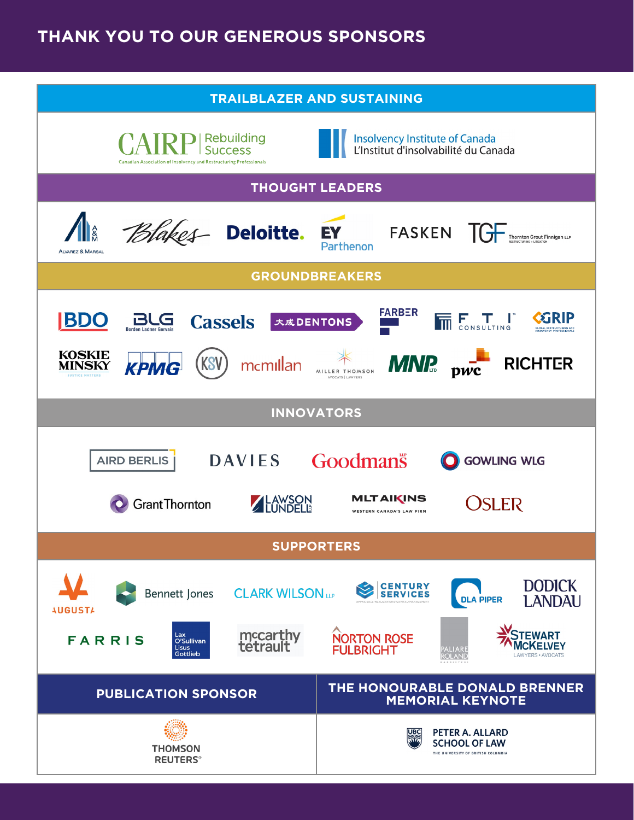# **THANK YOU TO OUR GENEROUS SPONSORS**

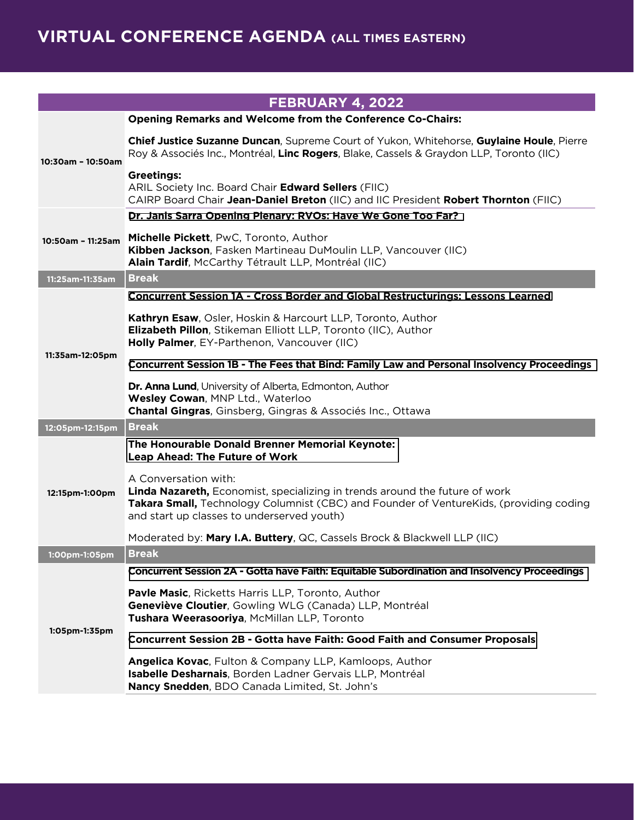|                   | FEBRUARY 4, 2022                                                                                                                                                                                                                            |
|-------------------|---------------------------------------------------------------------------------------------------------------------------------------------------------------------------------------------------------------------------------------------|
|                   | <b>Opening Remarks and Welcome from the Conference Co-Chairs:</b>                                                                                                                                                                           |
| 10:30am - 10:50am | Chief Justice Suzanne Duncan, Supreme Court of Yukon, Whitehorse, Guylaine Houle, Pierre<br>Roy & Associés Inc., Montréal, Linc Rogers, Blake, Cassels & Graydon LLP, Toronto (IIC)                                                         |
|                   | <b>Greetings:</b><br>ARIL Society Inc. Board Chair Edward Sellers (FIIC)<br>CAIRP Board Chair Jean-Daniel Breton (IIC) and IIC President Robert Thornton (FIIC)                                                                             |
| 10:50am - 11:25am | Dr. Janis Sarra Opening Plenary: RVOs: Have We Gone Too Far?                                                                                                                                                                                |
|                   | Michelle Pickett, PwC, Toronto, Author<br>Kibben Jackson, Fasken Martineau DuMoulin LLP, Vancouver (IIC)<br>Alain Tardif, McCarthy Tétrault LLP, Montréal (IIC)                                                                             |
| 11:25am-11:35am   | <b>Break</b>                                                                                                                                                                                                                                |
| 11:35am-12:05pm   | <b>Concurrent Session 1A - Cross Border and Global Restructurings: Lessons Learned</b>                                                                                                                                                      |
|                   | Kathryn Esaw, Osler, Hoskin & Harcourt LLP, Toronto, Author<br><b>Elizabeth Pillon, Stikeman Elliott LLP, Toronto (IIC), Author</b><br>Holly Palmer, EY-Parthenon, Vancouver (IIC)                                                          |
|                   | Concurrent Session 1B - The Fees that Bind: Family Law and Personal Insolvency Proceedings                                                                                                                                                  |
|                   | Dr. Anna Lund, University of Alberta, Edmonton, Author<br>Wesley Cowan, MNP Ltd., Waterloo<br><b>Chantal Gingras, Ginsberg, Gingras &amp; Associés Inc., Ottawa</b>                                                                         |
| 12:05pm-12:15pm   | <b>Break</b>                                                                                                                                                                                                                                |
| 12:15pm-1:00pm    | The Honourable Donald Brenner Memorial Keynote:<br><b>Leap Ahead: The Future of Work</b>                                                                                                                                                    |
|                   | A Conversation with:<br>Linda Nazareth, Economist, specializing in trends around the future of work<br>Takara Small, Technology Columnist (CBC) and Founder of VentureKids, (providing coding<br>and start up classes to underserved youth) |
|                   | Moderated by: Mary I.A. Buttery, QC, Cassels Brock & Blackwell LLP (IIC)                                                                                                                                                                    |
| 1:00pm-1:05pm     | <b>Break</b>                                                                                                                                                                                                                                |
|                   | Concurrent Session 2A - Gotta have Faith: Equitable Subordination and Insolvency Proceedings                                                                                                                                                |
| $1:05$ pm-1:35pm  | <b>Pavle Masic, Ricketts Harris LLP, Toronto, Author</b><br>Geneviève Cloutier, Gowling WLG (Canada) LLP, Montréal<br>Tushara Weerasooriya, McMillan LLP, Toronto                                                                           |
|                   | <b>Concurrent Session 2B - Gotta have Faith: Good Faith and Consumer Proposals</b>                                                                                                                                                          |
|                   | Angelica Kovac, Fulton & Company LLP, Kamloops, Author<br>Isabelle Desharnais, Borden Ladner Gervais LLP, Montréal<br>Nancy Snedden, BDO Canada Limited, St. John's                                                                         |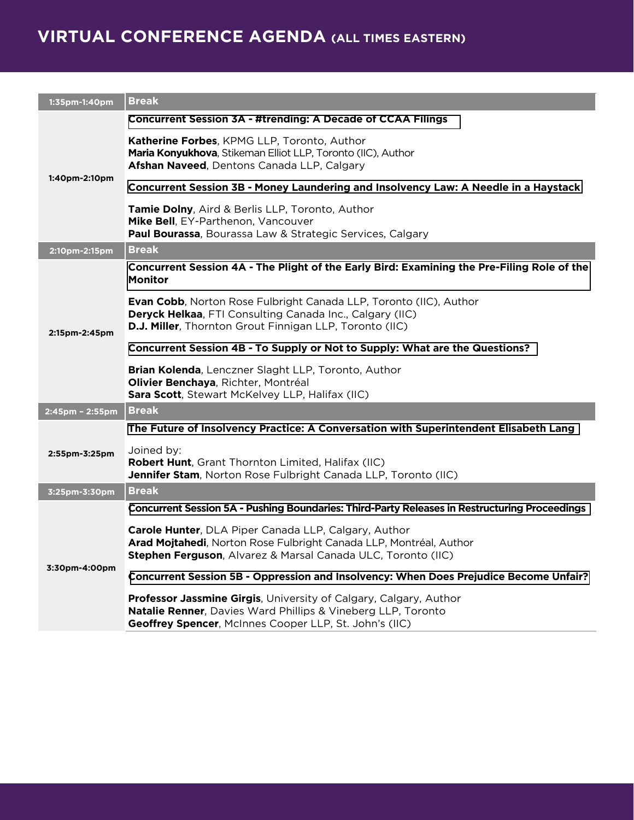# **VIRTUAL CONFERENCE AGENDA (ALL TIMES EASTERN)**

| 1:35pm-1:40pm   | <b>Break</b>                                                                                                                                                                                             |
|-----------------|----------------------------------------------------------------------------------------------------------------------------------------------------------------------------------------------------------|
| 1:40pm-2:10pm   | <b>Concurrent Session 3A - #trending: A Decade of CCAA Filings</b>                                                                                                                                       |
|                 | Katherine Forbes, KPMG LLP, Toronto, Author<br>Maria Konyukhova, Stikeman Elliot LLP, Toronto (IIC), Author<br>Afshan Naveed, Dentons Canada LLP, Calgary                                                |
|                 | Concurrent Session 3B - Money Laundering and Insolvency Law: A Needle in a Haystack                                                                                                                      |
|                 | Tamie Dolny, Aird & Berlis LLP, Toronto, Author<br>Mike Bell, EY-Parthenon, Vancouver<br>Paul Bourassa, Bourassa Law & Strategic Services, Calgary                                                       |
| 2:10pm-2:15pm   | <b>Break</b>                                                                                                                                                                                             |
| 2:15pm-2:45pm   | Concurrent Session 4A - The Plight of the Early Bird: Examining the Pre-Filing Role of the<br><b>Monitor</b>                                                                                             |
|                 | <b>Evan Cobb</b> , Norton Rose Fulbright Canada LLP, Toronto (IIC), Author<br><b>Deryck Helkaa, FTI Consulting Canada Inc., Calgary (IIC)</b><br>D.J. Miller, Thornton Grout Finnigan LLP, Toronto (IIC) |
|                 | Concurrent Session 4B - To Supply or Not to Supply: What are the Questions?                                                                                                                              |
|                 | Brian Kolenda, Lenczner Slaght LLP, Toronto, Author<br>Olivier Benchaya, Richter, Montréal<br>Sara Scott, Stewart McKelvey LLP, Halifax (IIC)                                                            |
| 2:45pm - 2:55pm | <b>Break</b>                                                                                                                                                                                             |
|                 | The Future of Insolvency Practice: A Conversation with Superintendent Elisabeth Lang                                                                                                                     |
| 2:55pm-3:25pm   | Joined by:<br>Robert Hunt, Grant Thornton Limited, Halifax (IIC)<br>Jennifer Stam, Norton Rose Fulbright Canada LLP, Toronto (IIC)                                                                       |
| 3:25pm-3:30pm   | <b>Break</b>                                                                                                                                                                                             |
| 3:30pm-4:00pm   | Concurrent Session 5A - Pushing Boundaries: Third-Party Releases in Restructuring Proceedings                                                                                                            |
|                 | Carole Hunter, DLA Piper Canada LLP, Calgary, Author<br>Arad Mojtahedi, Norton Rose Fulbright Canada LLP, Montréal, Author<br>Stephen Ferguson, Alvarez & Marsal Canada ULC, Toronto (IIC)               |
|                 | Concurrent Session 5B - Oppression and Insolvency: When Does Prejudice Become Unfair?                                                                                                                    |
|                 | Professor Jassmine Girgis, University of Calgary, Calgary, Author<br>Natalie Renner, Davies Ward Phillips & Vineberg LLP, Toronto<br>Geoffrey Spencer, McInnes Cooper LLP, St. John's (IIC)              |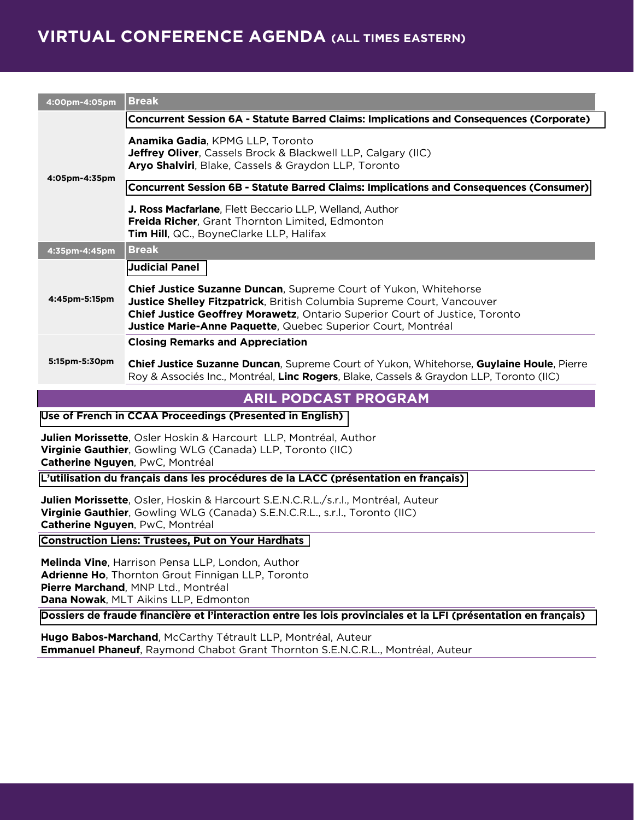# **VIRTUAL CONFERENCE AGENDA (ALL TIMES EASTERN)**

| 4:00pm-4:05pm | <b>Break</b>                                                                                                                                                                                                                                                                                                   |
|---------------|----------------------------------------------------------------------------------------------------------------------------------------------------------------------------------------------------------------------------------------------------------------------------------------------------------------|
| 4:05pm-4:35pm | <b>Concurrent Session 6A - Statute Barred Claims: Implications and Consequences (Corporate)</b>                                                                                                                                                                                                                |
|               | Anamika Gadia, KPMG LLP, Toronto<br><b>Jeffrey Oliver, Cassels Brock &amp; Blackwell LLP, Calgary (IIC)</b><br>Aryo Shalviri, Blake, Cassels & Graydon LLP, Toronto                                                                                                                                            |
|               | <b>Concurrent Session 6B - Statute Barred Claims: Implications and Consequences (Consumer)</b>                                                                                                                                                                                                                 |
|               | J. Ross Macfarlane, Flett Beccario LLP, Welland, Author<br><b>Freida Richer, Grant Thornton Limited, Edmonton</b><br>Tim Hill, QC., BoyneClarke LLP, Halifax                                                                                                                                                   |
| 4:35pm-4:45pm | <b>Break</b>                                                                                                                                                                                                                                                                                                   |
| 4:45pm-5:15pm | <b>Judicial Panel</b>                                                                                                                                                                                                                                                                                          |
|               | Chief Justice Suzanne Duncan, Supreme Court of Yukon, Whitehorse<br><b>Justice Shelley Fitzpatrick, British Columbia Supreme Court, Vancouver</b><br><b>Chief Justice Geoffrey Morawetz, Ontario Superior Court of Justice, Toronto</b><br><b>Justice Marie-Anne Paquette, Quebec Superior Court, Montréal</b> |
| 5:15pm-5:30pm | <b>Closing Remarks and Appreciation</b>                                                                                                                                                                                                                                                                        |
|               | <b>Chief Justice Suzanne Duncan, Supreme Court of Yukon, Whitehorse, Guylaine Houle, Pierre</b><br>Roy & Associés Inc., Montréal, Linc Rogers, Blake, Cassels & Graydon LLP, Toronto (IIC)                                                                                                                     |

### **ARIL PODCAST PROGRAM**

**[Use of French in CCAA Proceedings \(Presented in English\)](https://cairp.ca/ARIL_2022_Use_of_French_Podcast.html)**

**Julien Morissette**, Osler Hoskin & Harcourt LLP, Montréal, Author **Virginie Gauthier**, Gowling WLG (Canada) LLP, Toronto (IIC) **Catherine Nguyen**, PwC, Montréal

**[L'utilisation du français dans les procédures de la LACC \(présentation en français\)](https://cairp.ca/ARIL_2022_Use_of_French_Podcast.html)**

**Julien Morissette**, Osler, Hoskin & Harcourt S.E.N.C.R.L./s.r.l., Montréal, Auteur **Virginie Gauthier**, Gowling WLG (Canada) S.E.N.C.R.L., s.r.l., Toronto (IIC) **Catherine Nguyen**, PwC, Montréal

**[Construction Liens: Trustees, Put on Your Hardhats](https://cairp.ca/ARIL_2022_Construction_Liens_Podcast.html)**

**Melinda Vine**, Harrison Pensa LLP, London, Author **Adrienne Ho**, Thornton Grout Finnigan LLP, Toronto **Pierre Marchand**, MNP Ltd., Montréal **Dana Nowak**, MLT Aikins LLP, Edmonton

**[Dossiers de fraude financière et l'interaction entre les lois provinciales et la LFI \(présentation en français\)](https://cairp.ca/ARIL_2022_Dossiers_de_fraude_Podcast.html)**

**Hugo Babos-Marchand**, McCarthy Tétrault LLP, Montréal, Auteur **Emmanuel Phaneuf**, Raymond Chabot Grant Thornton S.E.N.C.R.L., Montréal, Auteur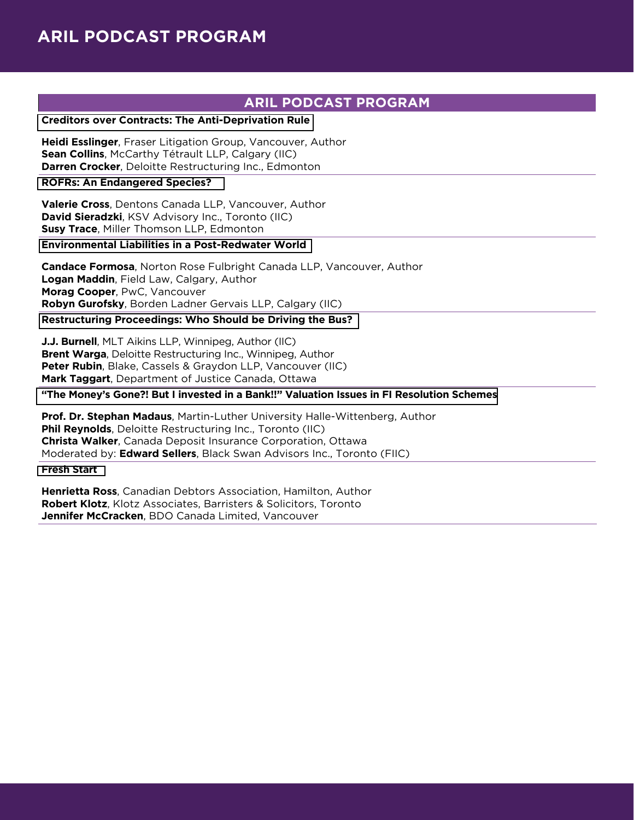## **ARIL PODCAST PROGRAM**

### **[Creditors over Contracts: The Anti-Deprivation Rule](https://cairp.ca/ARIL_2022_Creditors_over_Contracts_Podcast.html)**

**Heidi Esslinger**, Fraser Litigation Group, Vancouver, Author **Sean Collins**, McCarthy Tétrault LLP, Calgary (IIC) **Darren Crocker**, Deloitte Restructuring Inc., Edmonton

#### **[ROFRs: An Endangered Species?](https://cairp.ca/ARIL_2022_ROFRs_Podcast.html)**

**Valerie Cross**, Dentons Canada LLP, Vancouver, Author **David Sieradzki**, KSV Advisory Inc., Toronto (IIC) **Susy Trace**, Miller Thomson LLP, Edmonton

### **[Environmental Liabilities in a Post-Redwater World](https://cairp.ca/ARIL_2022_Post_Red-Water_Podcast.html)**

**Candace Formosa**, Norton Rose Fulbright Canada LLP, Vancouver, Author **Logan Maddin**, Field Law, Calgary, Author **Morag Cooper**, PwC, Vancouver **Robyn Gurofsky**, Borden Ladner Gervais LLP, Calgary (IIC)

### **[Restructuring Proceedings: Who Should be Driving the Bus?](https://cairp.ca/ARIL_2022_Driving_the_Bus_Podcast.html)**

**J.J. Burnell**, MLT Aikins LLP, Winnipeg, Author (IIC) **Brent Warga**, Deloitte Restructuring Inc., Winnipeg, Author **Peter Rubin**, Blake, Cassels & Graydon LLP, Vancouver (IIC) **Mark Taggart**, Department of Justice Canada, Ottawa

### **["The Money's Gone?! But I invested in a Bank!!" Valuation Issues in FI Resolution Schemes](https://cairp.ca/ARIL_2022_Session_Money_Podcast.html)**

**Prof. Dr. Stephan Madaus**, Martin-Luther University Halle-Wittenberg, Author **Phil Reynolds**, Deloitte Restructuring Inc., Toronto (IIC) **Christa Walker**, Canada Deposit Insurance Corporation, Ottawa Moderated by: **Edward Sellers**, Black Swan Advisors Inc., Toronto (FIIC)

#### **[Fresh Start](https://cairp.ca/ARIL_2022_Fresh_Start_Podcast.html)**

**Henrietta Ross**, Canadian Debtors Association, Hamilton, Author **Robert Klotz**, Klotz Associates, Barristers & Solicitors, Toronto **Jennifer McCracken**, BDO Canada Limited, Vancouver